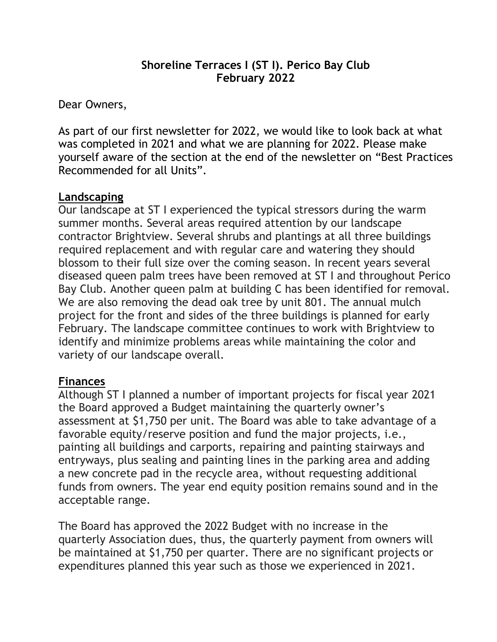#### **Shoreline Terraces I (ST I). Perico Bay Club February 2022**

Dear Owners,

As part of our first newsletter for 2022, we would like to look back at what was completed in 2021 and what we are planning for 2022. Please make yourself aware of the section at the end of the newsletter on "Best Practices Recommended for all Units".

#### **Landscaping**

Our landscape at ST I experienced the typical stressors during the warm summer months. Several areas required attention by our landscape contractor Brightview. Several shrubs and plantings at all three buildings required replacement and with regular care and watering they should blossom to their full size over the coming season. In recent years several diseased queen palm trees have been removed at ST I and throughout Perico Bay Club. Another queen palm at building C has been identified for removal. We are also removing the dead oak tree by unit 801. The annual mulch project for the front and sides of the three buildings is planned for early February. The landscape committee continues to work with Brightview to identify and minimize problems areas while maintaining the color and variety of our landscape overall.

#### **Finances**

Although ST I planned a number of important projects for fiscal year 2021 the Board approved a Budget maintaining the quarterly owner's assessment at \$1,750 per unit. The Board was able to take advantage of a favorable equity/reserve position and fund the major projects, i.e., painting all buildings and carports, repairing and painting stairways and entryways, plus sealing and painting lines in the parking area and adding a new concrete pad in the recycle area, without requesting additional funds from owners. The year end equity position remains sound and in the acceptable range.

The Board has approved the 2022 Budget with no increase in the quarterly Association dues, thus, the quarterly payment from owners will be maintained at \$1,750 per quarter. There are no significant projects or expenditures planned this year such as those we experienced in 2021.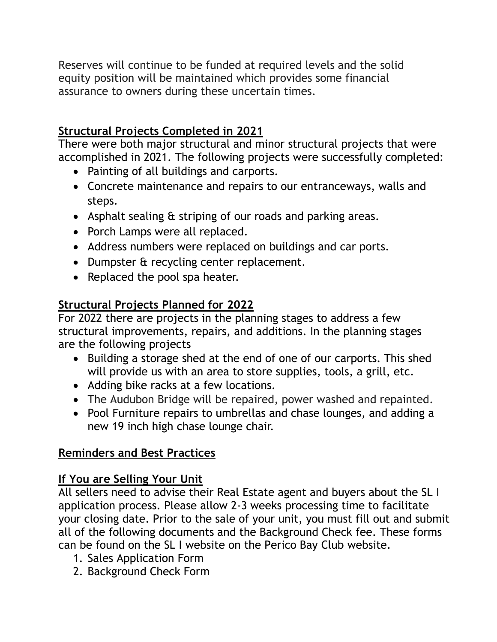Reserves will continue to be funded at required levels and the solid equity position will be maintained which provides some financial assurance to owners during these uncertain times.

# **Structural Projects Completed in 2021**

There were both major structural and minor structural projects that were accomplished in 2021. The following projects were successfully completed:

- Painting of all buildings and carports.
- Concrete maintenance and repairs to our entranceways, walls and steps.
- Asphalt sealing & striping of our roads and parking areas.
- Porch Lamps were all replaced.
- Address numbers were replaced on buildings and car ports.
- Dumpster & recycling center replacement.
- Replaced the pool spa heater.

### **Structural Projects Planned for 2022**

For 2022 there are projects in the planning stages to address a few structural improvements, repairs, and additions. In the planning stages are the following projects

- Building a storage shed at the end of one of our carports. This shed will provide us with an area to store supplies, tools, a grill, etc.
- Adding bike racks at a few locations.
- The Audubon Bridge will be repaired, power washed and repainted.
- Pool Furniture repairs to umbrellas and chase lounges, and adding a new 19 inch high chase lounge chair.

# **Reminders and Best Practices**

### **If You are Selling Your Unit**

All sellers need to advise their Real Estate agent and buyers about the SL I application process. Please allow 2-3 weeks processing time to facilitate your closing date. Prior to the sale of your unit, you must fill out and submit all of the following documents and the Background Check fee. These forms can be found on the SL I website on the Perico Bay Club website.

- 1. Sales Application Form
- 2. Background Check Form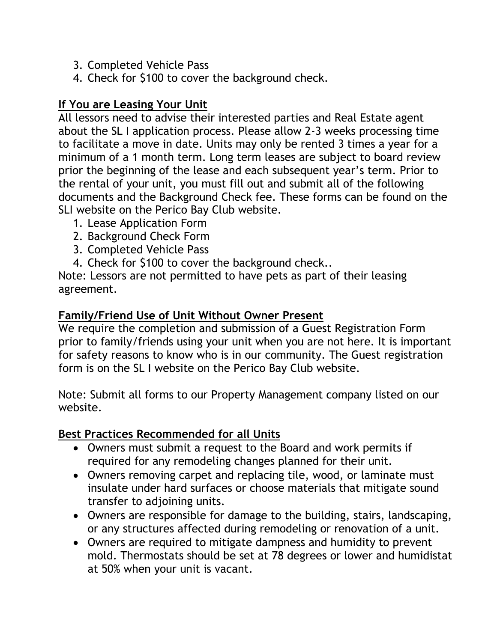- 3. Completed Vehicle Pass
- 4. Check for \$100 to cover the background check.

### **If You are Leasing Your Unit**

All lessors need to advise their interested parties and Real Estate agent about the SL I application process. Please allow 2-3 weeks processing time to facilitate a move in date. Units may only be rented 3 times a year for a minimum of a 1 month term. Long term leases are subject to board review prior the beginning of the lease and each subsequent year's term. Prior to the rental of your unit, you must fill out and submit all of the following documents and the Background Check fee. These forms can be found on the SLI website on the Perico Bay Club website.

- 1. Lease Application Form
- 2. Background Check Form
- 3. Completed Vehicle Pass
- 4. Check for \$100 to cover the background check..

Note: Lessors are not permitted to have pets as part of their leasing agreement.

### **Family/Friend Use of Unit Without Owner Present**

We require the completion and submission of a Guest Registration Form prior to family/friends using your unit when you are not here. It is important for safety reasons to know who is in our community. The Guest registration form is on the SL I website on the Perico Bay Club website.

Note: Submit all forms to our Property Management company listed on our website.

#### **Best Practices Recommended for all Units**

- Owners must submit a request to the Board and work permits if required for any remodeling changes planned for their unit.
- Owners removing carpet and replacing tile, wood, or laminate must insulate under hard surfaces or choose materials that mitigate sound transfer to adjoining units.
- Owners are responsible for damage to the building, stairs, landscaping, or any structures affected during remodeling or renovation of a unit.
- Owners are required to mitigate dampness and humidity to prevent mold. Thermostats should be set at 78 degrees or lower and humidistat at 50% when your unit is vacant.